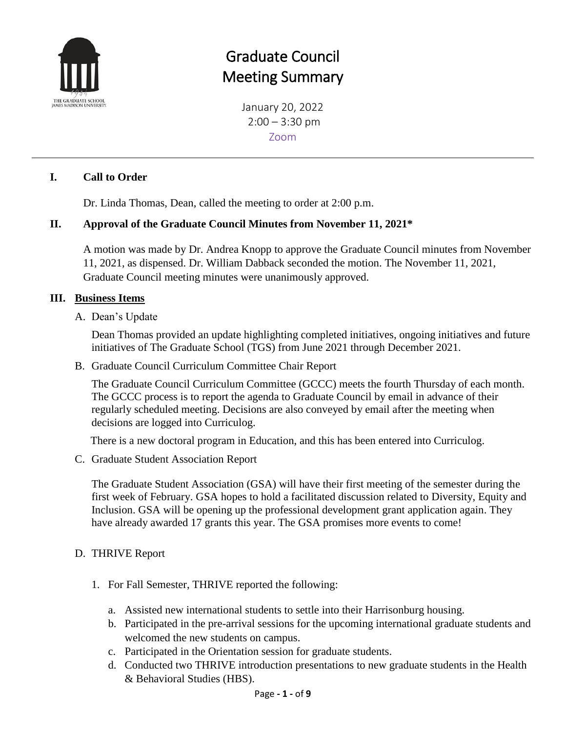

# Graduate Council Meeting Summary

January 20, 2022  $2:00 - 3:30$  pm Zoom

### **I. Call to Order**

Dr. Linda Thomas, Dean, called the meeting to order at 2:00 p.m.

### **II. Approval of the Graduate Council Minutes from November 11, 2021\***

A motion was made by Dr. Andrea Knopp to approve the Graduate Council minutes from November 11, 2021, as dispensed. Dr. William Dabback seconded the motion. The November 11, 2021, Graduate Council meeting minutes were unanimously approved.

### **III. Business Items**

A. Dean's Update

Dean Thomas provided an update highlighting completed initiatives, ongoing initiatives and future initiatives of The Graduate School (TGS) from June 2021 through December 2021.

B. Graduate Council Curriculum Committee Chair Report

The Graduate Council Curriculum Committee (GCCC) meets the fourth Thursday of each month. The GCCC process is to report the agenda to Graduate Council by email in advance of their regularly scheduled meeting. Decisions are also conveyed by email after the meeting when decisions are logged into Curriculog.

There is a new doctoral program in Education, and this has been entered into Curriculog.

C. Graduate Student Association Report

The Graduate Student Association (GSA) will have their first meeting of the semester during the first week of February. GSA hopes to hold a facilitated discussion related to Diversity, Equity and Inclusion. GSA will be opening up the professional development grant application again. They have already awarded 17 grants this year. The GSA promises more events to come!

### D. THRIVE Report

- 1. For Fall Semester, THRIVE reported the following:
	- a. Assisted new international students to settle into their Harrisonburg housing.
	- b. Participated in the pre-arrival sessions for the upcoming international graduate students and welcomed the new students on campus.
	- c. Participated in the Orientation session for graduate students.
	- d. Conducted two THRIVE introduction presentations to new graduate students in the Health & Behavioral Studies (HBS).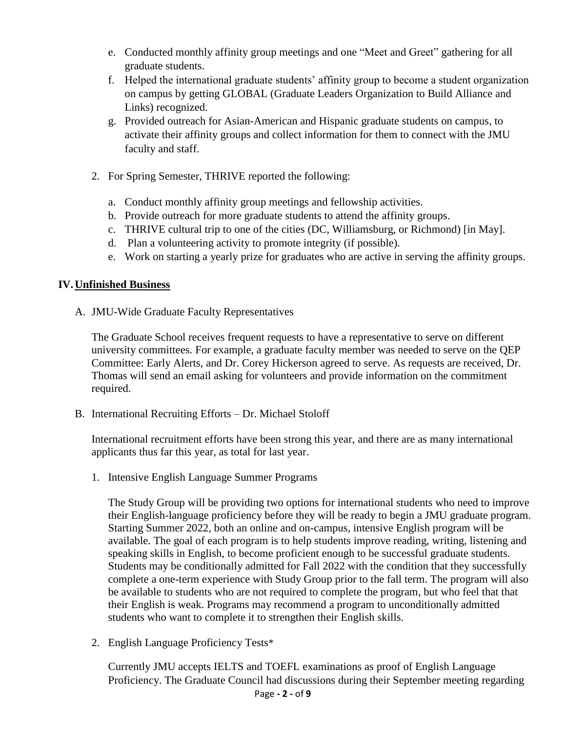- e. Conducted monthly affinity group meetings and one "Meet and Greet" gathering for all graduate students.
- f. Helped the international graduate students' affinity group to become a student organization on campus by getting GLOBAL (Graduate Leaders Organization to Build Alliance and Links) recognized.
- g. Provided outreach for Asian-American and Hispanic graduate students on campus, to activate their affinity groups and collect information for them to connect with the JMU faculty and staff.
- 2. For Spring Semester, THRIVE reported the following:
	- a. Conduct monthly affinity group meetings and fellowship activities.
	- b. Provide outreach for more graduate students to attend the affinity groups.
	- c. THRIVE cultural trip to one of the cities (DC, Williamsburg, or Richmond) [in May].
	- d. Plan a volunteering activity to promote integrity (if possible).
	- e. Work on starting a yearly prize for graduates who are active in serving the affinity groups.

### **IV.Unfinished Business**

A. JMU-Wide Graduate Faculty Representatives

The Graduate School receives frequent requests to have a representative to serve on different university committees. For example, a graduate faculty member was needed to serve on the QEP Committee: Early Alerts, and Dr. Corey Hickerson agreed to serve. As requests are received, Dr. Thomas will send an email asking for volunteers and provide information on the commitment required.

B. International Recruiting Efforts – Dr. Michael Stoloff

International recruitment efforts have been strong this year, and there are as many international applicants thus far this year, as total for last year.

1. Intensive English Language Summer Programs

The Study Group will be providing two options for international students who need to improve their English-language proficiency before they will be ready to begin a JMU graduate program. Starting Summer 2022, both an online and on-campus, intensive English program will be available. The goal of each program is to help students improve reading, writing, listening and speaking skills in English, to become proficient enough to be successful graduate students. Students may be conditionally admitted for Fall 2022 with the condition that they successfully complete a one-term experience with Study Group prior to the fall term. The program will also be available to students who are not required to complete the program, but who feel that that their English is weak. Programs may recommend a program to unconditionally admitted students who want to complete it to strengthen their English skills.

2. English Language Proficiency Tests\*

Page **- 2 -** of **9** Currently JMU accepts IELTS and TOEFL examinations as proof of English Language Proficiency. The Graduate Council had discussions during their September meeting regarding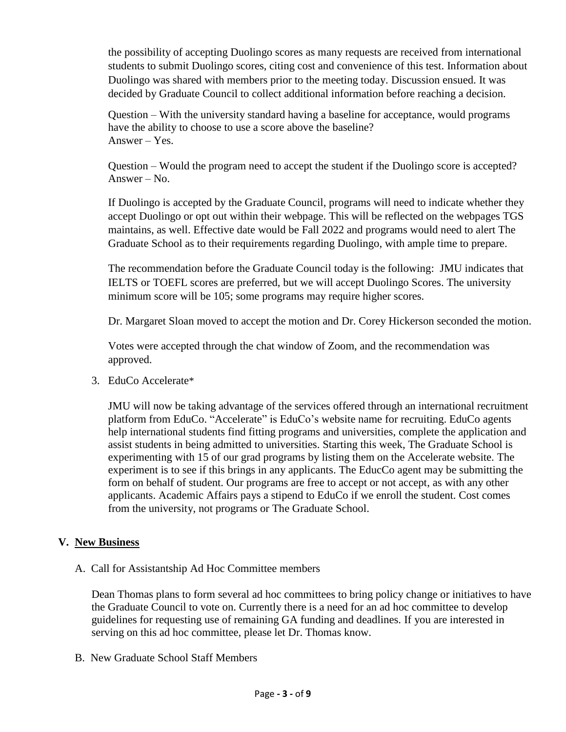the possibility of accepting Duolingo scores as many requests are received from international students to submit Duolingo scores, citing cost and convenience of this test. Information about Duolingo was shared with members prior to the meeting today. Discussion ensued. It was decided by Graduate Council to collect additional information before reaching a decision.

Question – With the university standard having a baseline for acceptance, would programs have the ability to choose to use a score above the baseline? Answer – Yes.

Question – Would the program need to accept the student if the Duolingo score is accepted? Answer – No.

If Duolingo is accepted by the Graduate Council, programs will need to indicate whether they accept Duolingo or opt out within their webpage. This will be reflected on the webpages TGS maintains, as well. Effective date would be Fall 2022 and programs would need to alert The Graduate School as to their requirements regarding Duolingo, with ample time to prepare.

The recommendation before the Graduate Council today is the following: JMU indicates that IELTS or TOEFL scores are preferred, but we will accept Duolingo Scores. The university minimum score will be 105; some programs may require higher scores.

Dr. Margaret Sloan moved to accept the motion and Dr. Corey Hickerson seconded the motion.

Votes were accepted through the chat window of Zoom, and the recommendation was approved.

3. EduCo Accelerate\*

JMU will now be taking advantage of the services offered through an international recruitment platform from EduCo. "Accelerate" is EduCo's website name for recruiting. EduCo agents help international students find fitting programs and universities, complete the application and assist students in being admitted to universities. Starting this week, The Graduate School is experimenting with 15 of our grad programs by listing them on the Accelerate website. The experiment is to see if this brings in any applicants. The EducCo agent may be submitting the form on behalf of student. Our programs are free to accept or not accept, as with any other applicants. Academic Affairs pays a stipend to EduCo if we enroll the student. Cost comes from the university, not programs or The Graduate School.

### **V. New Business**

A. Call for Assistantship Ad Hoc Committee members

Dean Thomas plans to form several ad hoc committees to bring policy change or initiatives to have the Graduate Council to vote on. Currently there is a need for an ad hoc committee to develop guidelines for requesting use of remaining GA funding and deadlines. If you are interested in serving on this ad hoc committee, please let Dr. Thomas know.

B. New Graduate School Staff Members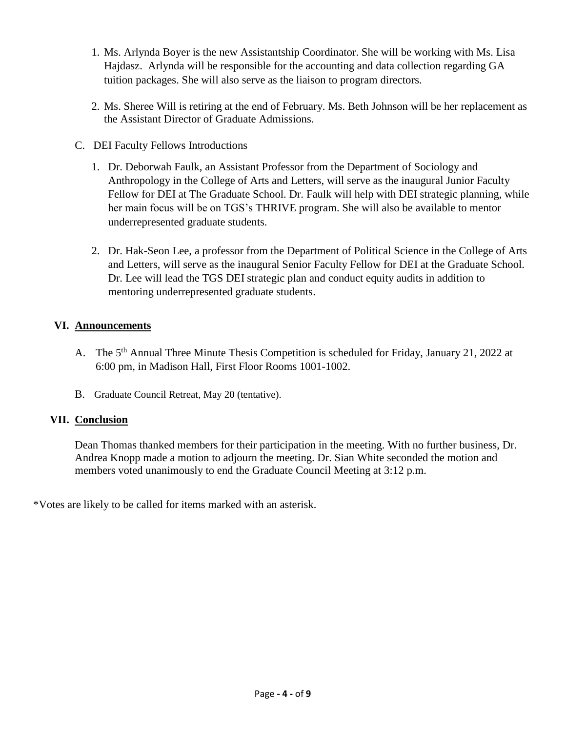- 1. Ms. Arlynda Boyer is the new Assistantship Coordinator. She will be working with Ms. Lisa Hajdasz. Arlynda will be responsible for the accounting and data collection regarding GA tuition packages. She will also serve as the liaison to program directors.
- 2. Ms. Sheree Will is retiring at the end of February. Ms. Beth Johnson will be her replacement as the Assistant Director of Graduate Admissions.
- C. DEI Faculty Fellows Introductions
	- 1. Dr. Deborwah Faulk, an Assistant Professor from the Department of Sociology and Anthropology in the College of Arts and Letters, will serve as the inaugural Junior Faculty Fellow for DEI at The Graduate School. Dr. Faulk will help with DEI strategic planning, while her main focus will be on TGS's THRIVE program. She will also be available to mentor underrepresented graduate students.
	- 2. Dr. Hak-Seon Lee, a professor from the Department of Political Science in the College of Arts and Letters, will serve as the inaugural Senior Faculty Fellow for DEI at the Graduate School. Dr. Lee will lead the TGS DEI strategic plan and conduct equity audits in addition to mentoring underrepresented graduate students.

### **VI. Announcements**

- A. The 5<sup>th</sup> Annual Three Minute Thesis Competition is scheduled for Friday, January 21, 2022 at 6:00 pm, in Madison Hall, First Floor Rooms 1001-1002.
- B. Graduate Council Retreat, May 20 (tentative).

### **VII. Conclusion**

Dean Thomas thanked members for their participation in the meeting. With no further business, Dr. Andrea Knopp made a motion to adjourn the meeting. Dr. Sian White seconded the motion and members voted unanimously to end the Graduate Council Meeting at 3:12 p.m.

\*Votes are likely to be called for items marked with an asterisk.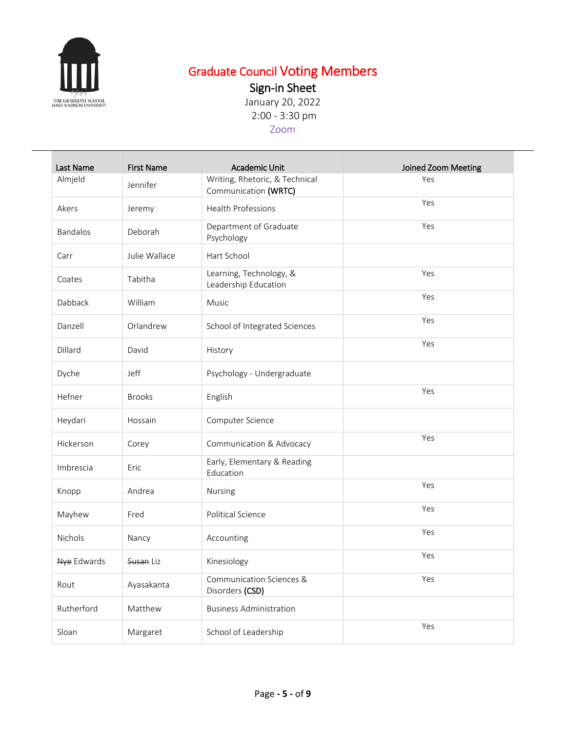

# Graduate Council Voting Members

Sign-in Sheet

January 20, 2022 2:00 - 3:30 pm

## Zoom

| Last Name   | <b>First Name</b> | Academic Unit                                          | Joined Zoom Meeting |
|-------------|-------------------|--------------------------------------------------------|---------------------|
| Almjeld     | Jennifer          | Writing, Rhetoric, & Technical<br>Communication (WRTC) | Yes                 |
| Akers       | Jeremy            | <b>Health Professions</b>                              | Yes                 |
| Bandalos    | Deborah           | Department of Graduate<br>Psychology                   | Yes                 |
| Carr        | Julie Wallace     | Hart School                                            |                     |
| Coates      | Tabitha           | Learning, Technology, &<br>Leadership Education        | Yes                 |
| Dabback     | William           | Music                                                  | Yes                 |
| Danzell     | Orlandrew         | School of Integrated Sciences                          | Yes                 |
| Dillard     | David             | History                                                | Yes                 |
| Dyche       | Jeff              | Psychology - Undergraduate                             |                     |
| Hefner      | <b>Brooks</b>     | English                                                | Yes                 |
| Heydari     | Hossain           | Computer Science                                       |                     |
| Hickerson   | Corey             | Communication & Advocacy                               | Yes                 |
| Imbrescia   | Eric              | Early, Elementary & Reading<br>Education               |                     |
| Knopp       | Andrea            | Nursing                                                | Yes                 |
| Mayhew      | Fred              | Political Science                                      | Yes                 |
| Nichols     | Nancy             | Accounting                                             | Yes                 |
| Nye Edwards | Susan Liz         | Kinesiology                                            | Yes                 |
| Rout        | Ayasakanta        | Communication Sciences &<br>Disorders (CSD)            | Yes                 |
| Rutherford  | Matthew           | <b>Business Administration</b>                         |                     |
| Sloan       | Margaret          | School of Leadership                                   | Yes                 |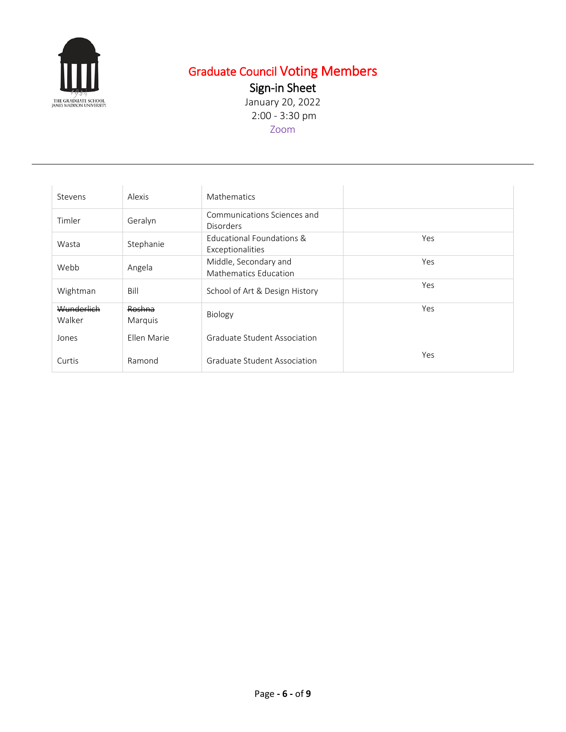

# Graduate Council Voting Members

Sign-in Sheet

January 20, 2022 2:00 - 3:30 pm Zoom

| Stevens              | Alexis            | Mathematics                                     |            |
|----------------------|-------------------|-------------------------------------------------|------------|
| Timler               | Geralyn           | Communications Sciences and<br><b>Disorders</b> |            |
| Wasta                | Stephanie         | Educational Foundations &<br>Exceptionalities   | Yes        |
| Webb                 | Angela            | Middle, Secondary and<br>Mathematics Education  | <b>Yes</b> |
| Wightman             | Bill              | School of Art & Design History                  | Yes        |
| Wunderlich<br>Walker | Roshna<br>Marquis | Biology                                         | Yes        |
| Jones                | Ellen Marie       | Graduate Student Association                    |            |
| Curtis               | Ramond            | Graduate Student Association                    | <b>Yes</b> |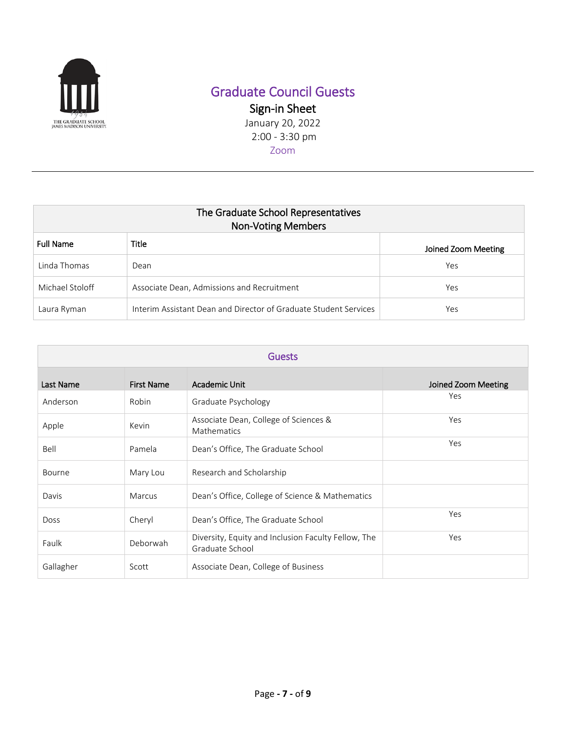

# Graduate Council Guests

Sign-in Sheet January 20, 2022 2:00 - 3:30 pm

| The Graduate School Representatives<br><b>Non-Voting Members</b> |                                                                  |                     |  |
|------------------------------------------------------------------|------------------------------------------------------------------|---------------------|--|
| <b>Full Name</b>                                                 | <b>Title</b>                                                     | Joined Zoom Meeting |  |
| Linda Thomas                                                     | Dean                                                             | Yes                 |  |
| Michael Stoloff                                                  | Associate Dean, Admissions and Recruitment                       | Yes                 |  |
| Laura Ryman                                                      | Interim Assistant Dean and Director of Graduate Student Services | Yes                 |  |

| <b>Guests</b> |                   |                                                                        |                     |
|---------------|-------------------|------------------------------------------------------------------------|---------------------|
| Last Name     | <b>First Name</b> | Academic Unit                                                          | Joined Zoom Meeting |
| Anderson      | Robin             | Graduate Psychology                                                    | Yes                 |
| Apple         | Kevin             | Associate Dean, College of Sciences &<br>Mathematics                   | Yes                 |
| Bell          | Pamela            | Dean's Office, The Graduate School                                     | Yes                 |
| Bourne        | Mary Lou          | Research and Scholarship                                               |                     |
| Davis         | Marcus            | Dean's Office, College of Science & Mathematics                        |                     |
| <b>Doss</b>   | Cheryl            | Dean's Office, The Graduate School                                     | Yes                 |
| Faulk         | Deborwah          | Diversity, Equity and Inclusion Faculty Fellow, The<br>Graduate School | Yes                 |
| Gallagher     | Scott             | Associate Dean, College of Business                                    |                     |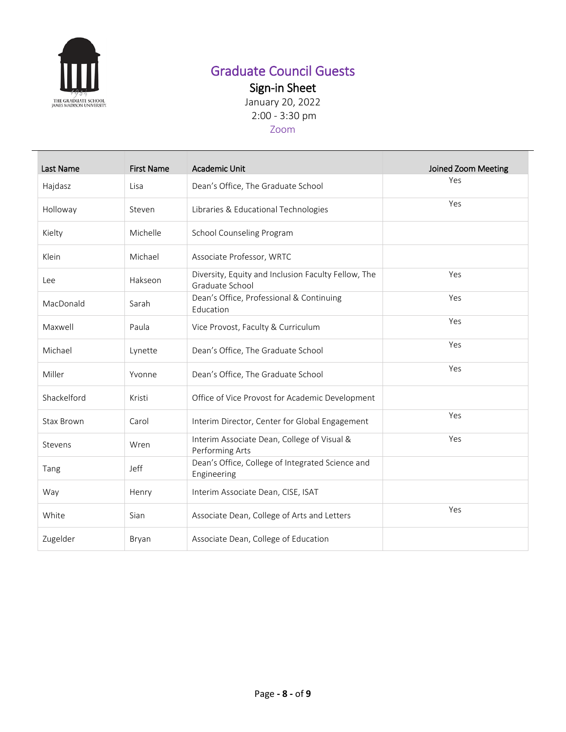

# Graduate Council Guests

Sign-in Sheet

January 20, 2022 2:00 - 3:30 pm

### Zoom

| Last Name         | <b>First Name</b> | <b>Academic Unit</b>                                                   | Joined Zoom Meeting |
|-------------------|-------------------|------------------------------------------------------------------------|---------------------|
| Hajdasz           | Lisa              | Dean's Office, The Graduate School                                     | Yes                 |
| Holloway          | Steven            | Libraries & Educational Technologies                                   | Yes                 |
| Kielty            | Michelle          | School Counseling Program                                              |                     |
| Klein             | Michael           | Associate Professor, WRTC                                              |                     |
| Lee               | Hakseon           | Diversity, Equity and Inclusion Faculty Fellow, The<br>Graduate School | Yes                 |
| MacDonald         | Sarah             | Dean's Office, Professional & Continuing<br>Education                  | Yes                 |
| Maxwell           | Paula             | Vice Provost, Faculty & Curriculum                                     | Yes                 |
| Michael           | Lynette           | Dean's Office, The Graduate School                                     | Yes                 |
| Miller            | Yvonne            | Dean's Office, The Graduate School                                     | Yes                 |
| Shackelford       | Kristi            | Office of Vice Provost for Academic Development                        |                     |
| <b>Stax Brown</b> | Carol             | Interim Director, Center for Global Engagement                         | Yes                 |
| Stevens           | Wren              | Interim Associate Dean, College of Visual &<br>Performing Arts         | Yes                 |
| Tang              | Jeff              | Dean's Office, College of Integrated Science and<br>Engineering        |                     |
| Way               | Henry             | Interim Associate Dean, CISE, ISAT                                     |                     |
| White             | Sian              | Associate Dean, College of Arts and Letters                            | Yes                 |
| Zugelder          | Bryan             | Associate Dean, College of Education                                   |                     |